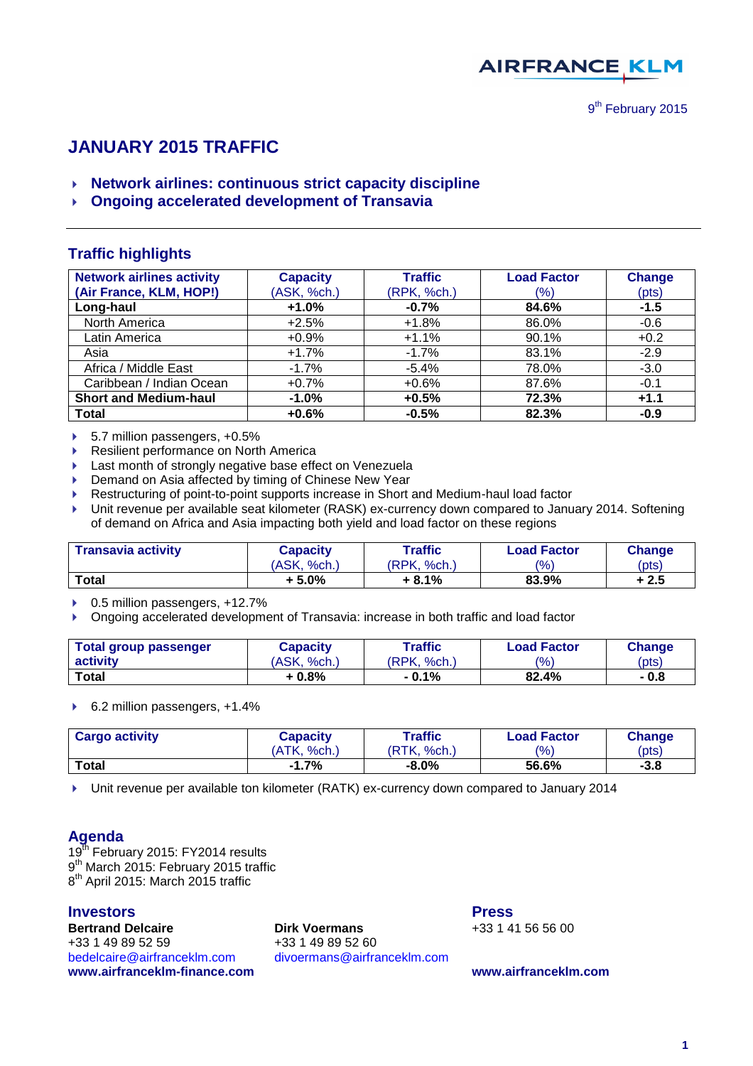

# **JANUARY 2015 TRAFFIC**

- **Network airlines: continuous strict capacity discipline**
- **Ongoing accelerated development of Transavia**

## **Traffic highlights**

| <b>Network airlines activity</b> | <b>Capacity</b> | <b>Traffic</b> | <b>Load Factor</b> | <b>Change</b> |
|----------------------------------|-----------------|----------------|--------------------|---------------|
| (Air France, KLM, HOP!)          | (ASK, %ch.)     | (RPK, %ch.)    | (%)                | (pts)         |
| Long-haul                        | $+1.0%$         | $-0.7%$        | 84.6%              | $-1.5$        |
| North America                    | $+2.5%$         | $+1.8%$        | 86.0%              | $-0.6$        |
| Latin America                    | $+0.9%$         | $+1.1%$        | 90.1%              | $+0.2$        |
| Asia                             | $+1.7%$         | $-1.7%$        | 83.1%              | $-2.9$        |
| Africa / Middle East             | $-1.7%$         | $-5.4%$        | 78.0%              | $-3.0$        |
| Caribbean / Indian Ocean         | $+0.7%$         | $+0.6%$        | 87.6%              | $-0.1$        |
| <b>Short and Medium-haul</b>     | $-1.0%$         | $+0.5%$        | 72.3%              | $+1.1$        |
| <b>Total</b>                     | $+0.6%$         | $-0.5%$        | 82.3%              | $-0.9$        |

- ▶ 5.7 million passengers, +0.5%
- ▶ Resilient performance on North America
- **Last month of strongly negative base effect on Venezuela**
- ▶ Demand on Asia affected by timing of Chinese New Year
- Restructuring of point-to-point supports increase in Short and Medium-haul load factor
- Unit revenue per available seat kilometer (RASK) ex-currency down compared to January 2014. Softening of demand on Africa and Asia impacting both yield and load factor on these regions

| <b>Transavia activity</b> | Traffic<br>Capacity |             | <b>Load Factor</b> | <b>Change</b> |  |
|---------------------------|---------------------|-------------|--------------------|---------------|--|
|                           | (ASK, %ch.)         | (RPK, %ch.) | $\frac{10}{6}$     | (pts)         |  |
| <b>Total</b>              | $+5.0%$             | + 8.1%      | 83.9%              | + 2.5         |  |

▶ 0.5 million passengers, +12.7%

Ongoing accelerated development of Transavia: increase in both traffic and load factor

| Total group passenger | Capacity    | Traffic          | <b>Load Factor</b> | <b>Change</b> |
|-----------------------|-------------|------------------|--------------------|---------------|
| activity              | (ASK, %ch.) | 'RPK.<br>$%$ ch. | $\frac{10}{6}$     | (pts)         |
| Total                 | + 0.8%      | $-0.1%$          | 82.4%              | - 0.8         |

▶ 6.2 million passengers, +1.4%

| <b>Cargo activity</b> | Capacity          | $\tau$ raffic  | <b>Load Factor</b> | <b>Change</b> |  |
|-----------------------|-------------------|----------------|--------------------|---------------|--|
|                       | 'ATK.<br>$%$ ch.) | 'RTK.<br>%ch., | $\frac{10}{6}$     | (pts)         |  |
| <b>Total</b>          | $-1.7%$           | $-8.0%$        | 56.6%              | $-3.8$        |  |

Unit revenue per available ton kilometer (RATK) ex-currency down compared to January 2014

### **Agenda**

 $19<sup>th</sup>$  February 2015: FY2014 results 9<sup>th</sup> March 2015: February 2015 traffic 8<sup>th</sup> April 2015: March 2015 traffic

### **Investors Press**

**Bertrand Delcaire Dirk Voermans** +33 1 41 56 56 00 +33 1 49 89 52 59 +33 1 49 89 52 60 [bedelcaire@airfranceklm.com](mailto:bedelcaire@airfranceklm.com) divoermans@airfranceklm.com **[www.airfranceklm-finance.com](http://www.airfranceklm-finance.com/) [www.airfranceklm.com](http://www.airfranceklm.com/)**